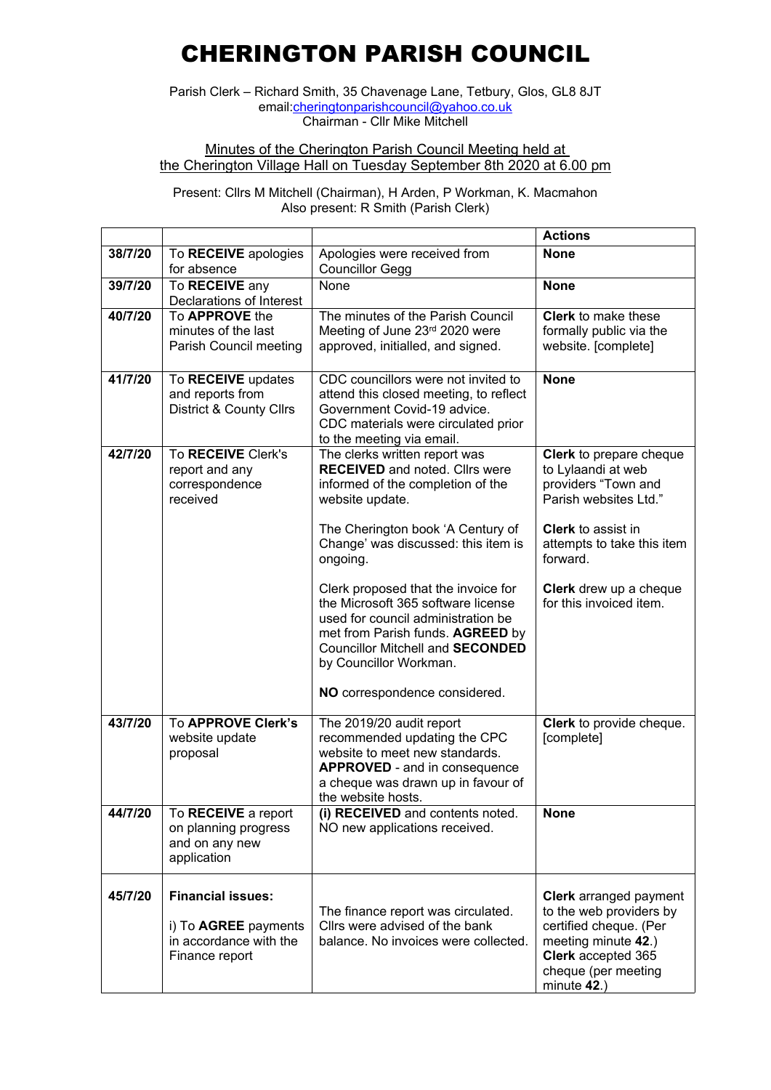## CHERINGTON PARISH COUNCIL

Parish Clerk – Richard Smith, 35 Chavenage Lane, Tetbury, Glos, GL8 8JT email[:cheringtonparishcouncil@yahoo.co.uk](mailto:cheringtonparishcouncil@yahoo.co.uk) Chairman - Cllr Mike Mitchell

Minutes of the Cherington Parish Council Meeting held at the Cherington Village Hall on Tuesday September 8th 2020 at 6.00 pm

Present: Cllrs M Mitchell (Chairman), H Arden, P Workman, K. Macmahon Also present: R Smith (Parish Clerk)

|         |                                                                                              |                                                                                                                                                                                                                                                           | <b>Actions</b>                                                                                                                                                        |
|---------|----------------------------------------------------------------------------------------------|-----------------------------------------------------------------------------------------------------------------------------------------------------------------------------------------------------------------------------------------------------------|-----------------------------------------------------------------------------------------------------------------------------------------------------------------------|
| 38/7/20 | To RECEIVE apologies<br>for absence                                                          | Apologies were received from<br><b>Councillor Gegg</b>                                                                                                                                                                                                    | <b>None</b>                                                                                                                                                           |
| 39/7/20 | To RECEIVE any<br>Declarations of Interest                                                   | None                                                                                                                                                                                                                                                      | <b>None</b>                                                                                                                                                           |
| 40/7/20 | To <b>APPROVE</b> the<br>minutes of the last<br>Parish Council meeting                       | The minutes of the Parish Council<br>Meeting of June 23rd 2020 were<br>approved, initialled, and signed.                                                                                                                                                  | <b>Clerk</b> to make these<br>formally public via the<br>website. [complete]                                                                                          |
| 41/7/20 | To RECEIVE updates<br>and reports from<br><b>District &amp; County Cllrs</b>                 | CDC councillors were not invited to<br>attend this closed meeting, to reflect<br>Government Covid-19 advice.<br>CDC materials were circulated prior<br>to the meeting via email.                                                                          | <b>None</b>                                                                                                                                                           |
| 42/7/20 | To RECEIVE Clerk's<br>report and any<br>correspondence<br>received                           | The clerks written report was<br><b>RECEIVED</b> and noted. Clirs were<br>informed of the completion of the<br>website update.<br>The Cherington book 'A Century of<br>Change' was discussed: this item is<br>ongoing.                                    | Clerk to prepare cheque<br>to Lylaandi at web<br>providers "Town and<br>Parish websites Ltd."<br>Clerk to assist in<br>attempts to take this item<br>forward.         |
|         |                                                                                              | Clerk proposed that the invoice for<br>the Microsoft 365 software license<br>used for council administration be<br>met from Parish funds. AGREED by<br><b>Councillor Mitchell and SECONDED</b><br>by Councillor Workman.<br>NO correspondence considered. | <b>Clerk</b> drew up a cheque<br>for this invoiced item.                                                                                                              |
| 43/7/20 | To APPROVE Clerk's<br>website update<br>proposal                                             | The 2019/20 audit report<br>recommended updating the CPC<br>website to meet new standards.<br><b>APPROVED</b> - and in consequence<br>a cheque was drawn up in favour of<br>the website hosts.                                                            | Clerk to provide cheque.<br>[complete]                                                                                                                                |
| 44/7/20 | To RECEIVE a report<br>on planning progress<br>and on any new<br>application                 | (i) RECEIVED and contents noted.<br>NO new applications received.                                                                                                                                                                                         | <b>None</b>                                                                                                                                                           |
| 45/7/20 | <b>Financial issues:</b><br>i) To AGREE payments<br>in accordance with the<br>Finance report | The finance report was circulated.<br>Cllrs were advised of the bank<br>balance. No invoices were collected.                                                                                                                                              | <b>Clerk</b> arranged payment<br>to the web providers by<br>certified cheque. (Per<br>meeting minute 42.)<br>Clerk accepted 365<br>cheque (per meeting<br>minute 42.) |